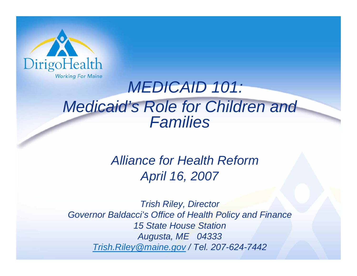

## *MEDICAID 101: Medicaid's Role for Children and Families*

#### *Alliance for Health ReformApril 16, 2007*

*Trish Riley, Director Governor Baldacci's Office of Health Policy and Finance 15 State House Station Augusta, ME 04333 [Trish.Riley@maine.gov /](mailto:Trish.Riley@maine.gov) Tel. 207-624-7442*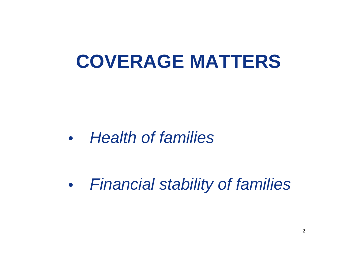# **COVERAGE MATTERS**

*• Health of families*

*• Financial stability of families*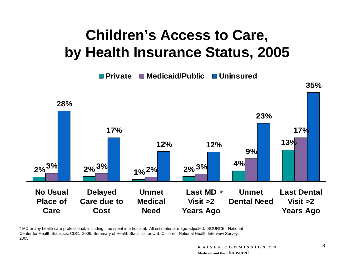## **Children's Access to Care, by Health Insurance Status, 2005**

**PrivateMedicaid/Public Uninsured**



\* MD or any health care professional, including time spent in a hospital. All estimates are age-adjusted. SOURCE: National Center for Health Statistics, CDC. 2006. Summary of Health Statistics for U.S. Children: National Health Interview Survey, 2005.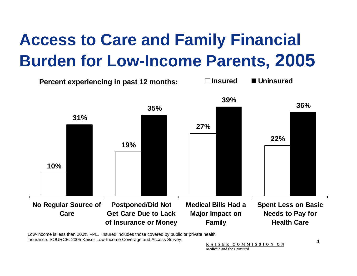# **Access to Care and Family Financial Burden for Low-Income Parents, 2005**



Low-income is less than 200% FPL. Insured includes those covered by public or private health insurance. SOURCE: 2005 Kaiser Low-Income Coverage and Access Survey.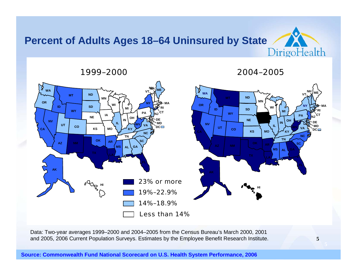#### **Percent of Adults Ages 18–64 Uninsured by State** DirigoHealth

2004–2005



Data: Two-year averages 1999–2000 and 2004–2005 from the Census Bureau's March 2000, 2001 and 2005, 2006 Current Population Surveys. Estimates by the Employee Benefit Research Institute.

#### **Source: Commonwealth Fund National Scorecard on U.S. Health System Performance, 2006**

1999–2000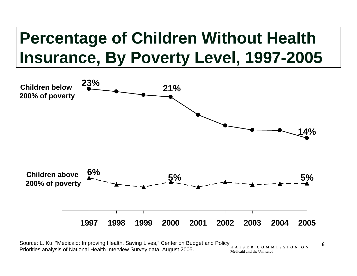# **Percentage of Children Without Health Insurance, By Poverty Level, 1997-2005**



Source: L. Ku, "Medicaid: Improving Health, Saving Lives," Center on Budget and Policy Priorities analysis of National Health Interview Survey data, August 2005. **K A I S E R C O M M I S S I O N O NMedicaid and the** Uninsured

**6**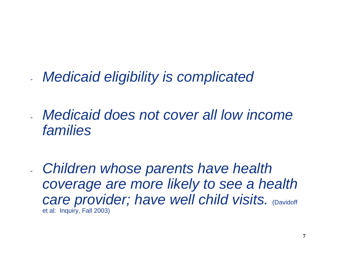- *Medicaid eligibility is complicated*
- *Medicaid does not cover all low income families*
- *Children whose parents have health coverage are more likely to see a health care provider; have well child visits. (Davidoff)* et al: Inquiry, Fall 2003)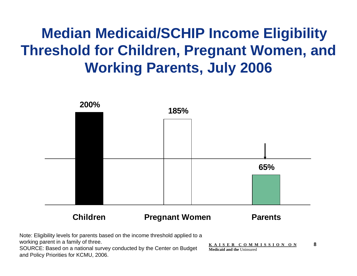## **Median Medicaid/SCHIP Income Eligibility Threshold for Children, Pregnant Women, and Working Parents, July 2006**



Note: Eligibility levels for parents based on the income threshold applied to a working parent in a family of three.

SOURCE: Based on a national survey conducted by the Center on Budget and Policy Priorities for KCMU, 2006.

**K A I S E R C O M M I S S I O N O N 8 Medicaid and the** Uninsured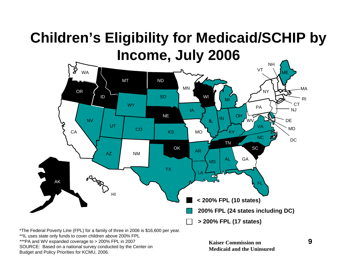## **Children's Eligibility for Medicaid/SCHIP by Income, July 2006**



\*The Federal Poverty Line (FPL) for a family of three in 2006 is \$16,600 per year.

\*\*IL uses state only funds to cover children above 200% FPL

\*\*\*PA and WV expanded coverage to > 200% FPL in 2007

SOURCE: Based on a national survey conducted by the Center on Budget and Policy Priorities for KCMU, 2006.

**Kaiser Commission onMedicaid and the Uninsured**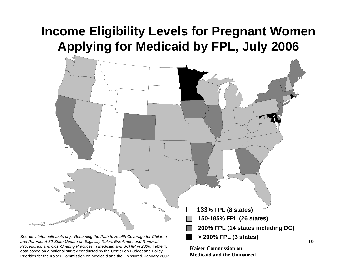#### **Income Eligibility Levels for Pregnant Women Applying for Medicaid by FPL, July 2006**



*Procedures, and Cost-Sharing Practices in Medicaid and SCHIP in 2006*, Table 4, data based on a national survey conducted by the Center on Budget and Policy Priorities for the Kaiser Commission on Medicaid and the Uninsured, January 2007. **Kaiser Commission on Medicaid and the Uninsured**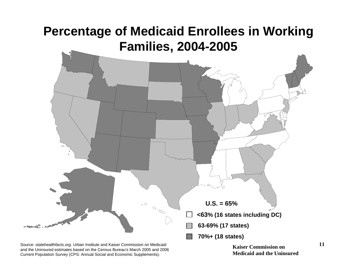

Source: *statehealthfacts.org.* Urban Institute and Kaiser Commission on Medicaid and the Uninsured estimates based on the Census Bureau's March 2005 and 2006 Current Population Survey (CPS: Annual Social and Economic Supplements).

**Kaiser Commission onMedicaid and the Uninsured**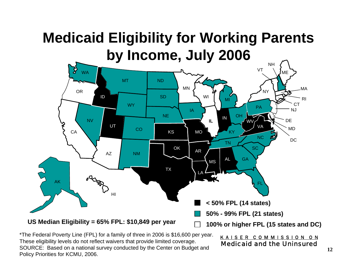## **Medicaid Eligibility for Working Parents by Income, July 2006**



\*The Federal Poverty Line (FPL) for a family of three in 2006 is \$16,600 per year. These eligibility levels do not reflect waivers that provide limited coverage. SOURCE: Based on a national survey conducted by the Center on Budget and Policy Priorities for KCMU, 2006.

#### K A I S E R C O M M I S S I O N O N Medicaid and the Uninsured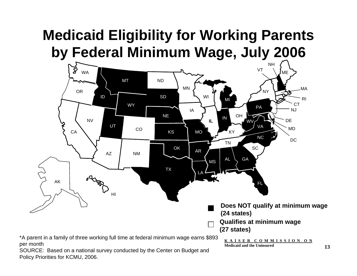## **Medicaid Eligibility for Working Parents by Federal Minimum Wage, July 2006**



SOURCE: Based on a national survey conducted by the Center on Budget and Polic y Priorities for KCMU, 2006.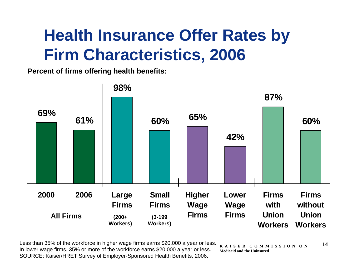# **Health Insurance Offer Rates by Firm Characteristics, 2006**

**Percent of firms offering health benefits:**



Less than 35% of the workforce in higher wage firms earns \$20,000 a year or less. In lower wage firms, 35% or more of the workforce earns \$20,000 a year or less. SOURCE: Kaiser/HRET Survey of Employer-Sponsored Health Benefits, 2006.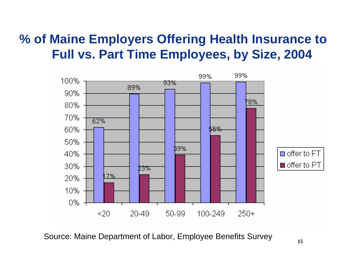#### **% of Maine Employers Offering Health Insurance to Full vs. Part Time Employees, by Size, 2004**



Source: Maine Department of Labor, Employee Benefits Survey **15**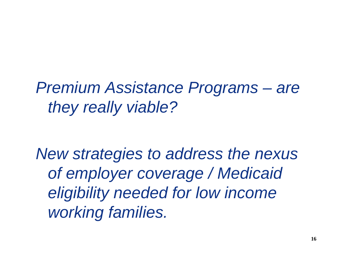*Premium Assistance Programs – are they really viable?*

*New strategies to address the nexus of employer coverage / Medicaid eligibility needed for low income working families.*